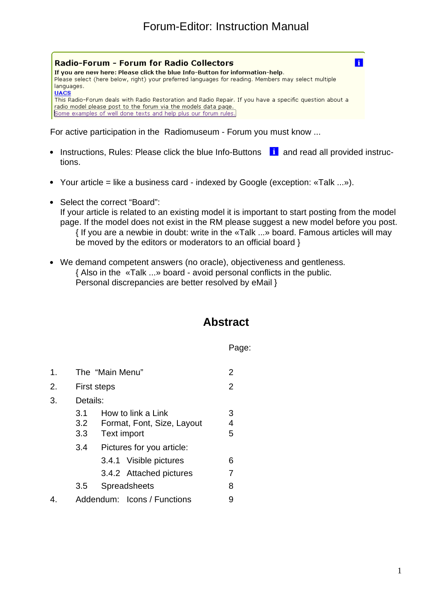

For active participation in the Radiomuseum - Forum you must know ...

- Instructions, Rules: Please click the blue Info-Buttons ii and read all provided instructions.
- Your article = like a business card indexed by Google (exception: «Talk ...»).
- Select the correct "Board": If your article is related to an existing model it is important to start posting from the model page. If the model does not exist in the RM please suggest a new model before you post. { If you are a newbie in doubt: write in the «Talk ...» board. Famous articles will may be moved by the editors or moderators to an official board }
- We demand competent answers (no oracle), objectiveness and gentleness. { Also in the «Talk ...» board - avoid personal conflicts in the public. Personal discrepancies are better resolved by eMail }

# **Abstract**

#### Page:

| 1. |                   | The "Main Menu"<br>2 |                                                  |             |  |  |
|----|-------------------|----------------------|--------------------------------------------------|-------------|--|--|
| 2. |                   | First steps          |                                                  |             |  |  |
| 3. |                   | Details:             |                                                  |             |  |  |
|    | 3.1<br>3.2<br>3.3 | <b>Text import</b>   | How to link a Link<br>Format, Font, Size, Layout | З<br>4<br>5 |  |  |
|    | 3.4               |                      | Pictures for you article:                        |             |  |  |
|    |                   |                      | 3.4.1 Visible pictures                           | 6           |  |  |
|    |                   |                      | 3.4.2 Attached pictures                          | 7           |  |  |
|    | 3.5               |                      | <b>Spreadsheets</b>                              | 8           |  |  |
|    |                   |                      | Addendum: Icons / Functions                      |             |  |  |
|    |                   |                      |                                                  |             |  |  |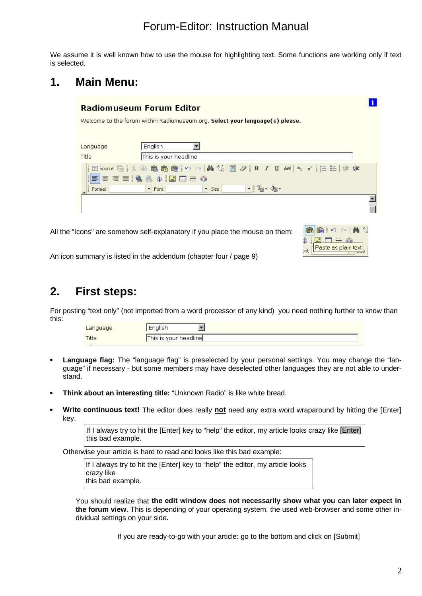We assume it is well known how to use the mouse for highlighting text. Some functions are working only if text is selected.

### **1. Main Menu:**

| <b>Radiomuseum Forum Editor</b>                                              |           |
|------------------------------------------------------------------------------|-----------|
| Welcome to the forum within Radiomuseum.org. Select your language(s) please. |           |
|                                                                              |           |
| English<br>Language                                                          |           |
| This is your headline<br>Title                                               |           |
| EEEISS JRH 50                                                                |           |
| $\blacktriangleright$ Font<br>Format<br>$\mathbf{r}$<br>Size                 | ∽∥Ta∽ ⊘a∽ |
|                                                                              |           |

All the "Icons" are somehow self-explanatory if you place the mouse on them:

| $\mathsf{Paste}\ \mathsf{as}\ \mathsf{plain}\ \mathsf{text}\big\lfloor \mathsf{right}$ |  |
|----------------------------------------------------------------------------------------|--|

An icon summary is listed in the addendum (chapter four / page 9)

### **2. First steps:**

For posting "text only" (not imported from a word processor of any kind) you need nothing further to know than this:

| Language | нулэн                            |
|----------|----------------------------------|
| Title    | <br>: γour headline  <br>This is |

- Language flag: The "language flag" is preselected by your personal settings. You may change the "language" if necessary - but some members may have deselected other languages they are not able to understand.
- **Think about an interesting title:** "Unknown Radio" is like white bread.
- **Write continuous text!** The editor does really **not** need any extra word wraparound by hitting the [Enter]  $\bullet$ key.

If I always try to hit the [Enter] key to "help" the editor, my article looks crazy like [Enter] this bad example.

Otherwise your article is hard to read and looks like this bad example:

If I always try to hit the [Enter] key to "help" the editor, my article looks crazy like this bad example.

You should realize that **the edit window does not necessarily show what you can later expect in the forum view**. This is depending of your operating system, the used web-browser and some other individual settings on your side.

If you are ready-to-go with your article: go to the bottom and click on [Submit]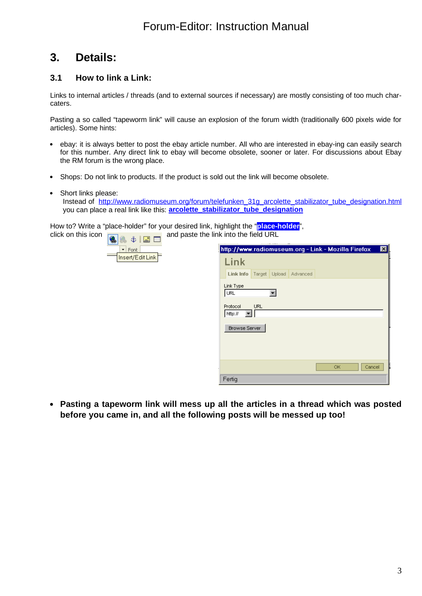### **3. Details:**

#### **3.1 How to link a Link:**

Links to internal articles / threads (and to external sources if necessary) are mostly consisting of too much charcaters.

Pasting a so called "tapeworm link" will cause an explosion of the forum width (traditionally 600 pixels wide for articles). Some hints:

- ebay: it is always better to post the ebay article number. All who are interested in ebay-ing can easily search for this number. Any direct link to ebay will become obsolete, sooner or later. For discussions about Ebay the RM forum is the wrong place.
- Shops: Do not link to products. If the product is sold out the link will become obsolete.
- Short links please: Instead of [http://www.radiomuseum.org/forum/telefunken\\_31g\\_arcolette\\_stabilizator\\_tube\\_designation.html](http://www.radiomuseum.org/forum/telefunken_31g_arcolette_stabilizator_tube_designation.html) you can place a real link like this: **arcolette\_stabilizator\_tube\_designation**

How to? Write a "place-holder" for your desired link, highlight the "**place-holder**", click on this icon  $\boxed{a}$   $\frac{a}{b}$   $\boxed{a}$  and paste the link into the field URL



| http://www.radiomuseum.org - Link - Mozilla Firefox |            |        |          |     |        | $\overline{\mathbf{x}}$ |
|-----------------------------------------------------|------------|--------|----------|-----|--------|-------------------------|
| Link                                                |            |        |          |     |        |                         |
| Link Info                                           | Target     | Upload | Advanced |     |        |                         |
| Link Type<br> URL                                   |            |        |          |     |        |                         |
| Protocol<br>http://                                 | <b>URL</b> |        |          |     |        |                         |
| <b>Browse Server</b>                                |            |        |          |     |        |                         |
|                                                     |            |        |          |     |        |                         |
|                                                     |            |        |          | OK. | Cancel |                         |
| Fertig                                              |            |        |          |     |        |                         |

**Pasting a tapeworm link will mess up all the articles in a thread which was posted before you came in, and all the following posts will be messed up too!**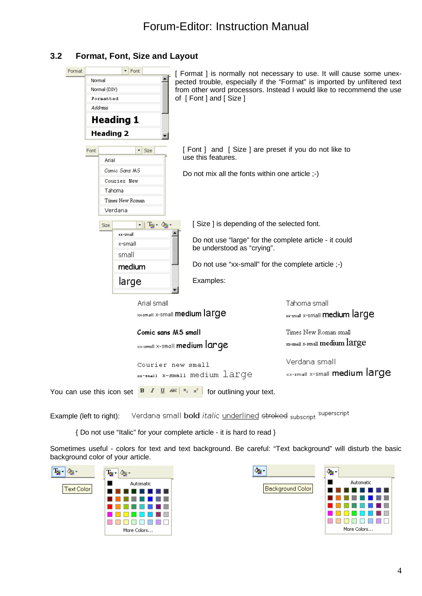#### **3.2 Format, Font, Size and Layout**

| $\blacktriangleright$ Font<br>Format<br>Normal<br>Normal (DIV)<br>Formatted<br>Address<br><b>Heading 1</b><br><b>Heading 2</b> | of [Font] and [Size]                                                                                                                                                                    | [ Format ] is normally not necessary to use. It will cause some unex-<br>pected trouble, especially if the "Format" is imported by unfiltered text<br>from other word processors. Instead I would like to recommend the use |
|--------------------------------------------------------------------------------------------------------------------------------|-----------------------------------------------------------------------------------------------------------------------------------------------------------------------------------------|-----------------------------------------------------------------------------------------------------------------------------------------------------------------------------------------------------------------------------|
| $\blacktriangleright$ Size<br>Font<br>Arial                                                                                    | [Font ] and [Size ] are preset if you do not like to<br>use this features.                                                                                                              |                                                                                                                                                                                                                             |
| Comic Sans MS<br>Courier New<br>Tahoma<br>Times New Roman<br>Verdana                                                           | Do not mix all the fonts within one article ;-)                                                                                                                                         |                                                                                                                                                                                                                             |
| न∥ फु∗ ∕कु∗<br>Size<br>xx-small<br>x-small<br>small<br>medium                                                                  | [Size] is depending of the selected font.<br>Do not use "large" for the complete article - it could<br>be understood as "crying".<br>Do not use "xx-small" for the complete article ;-) |                                                                                                                                                                                                                             |
| large                                                                                                                          | Examples:                                                                                                                                                                               |                                                                                                                                                                                                                             |
| Arial small                                                                                                                    | <b>So-small X-Small medium large</b>                                                                                                                                                    | Tahoma small<br>xx-small x-small medium large                                                                                                                                                                               |
| Comic sans MS small                                                                                                            | $\times$ x-small $\times$ -small <b>medium large</b>                                                                                                                                    | Times New Roman small<br>xx-small x-small medium large                                                                                                                                                                      |
|                                                                                                                                | Courier new small<br>xx-small x-small medium large                                                                                                                                      | Verdana small<br>xx-small x-small medium large                                                                                                                                                                              |
| You can use this icon set                                                                                                      | <b>B</b> $I \perp I$ $\cong$ $\mathbb{R} \times \mathbb{R}$ for outlining your text.                                                                                                    |                                                                                                                                                                                                                             |

Verdana small **bold** *italic* underlined stroked subscript <sup>superscript</sup> Example (left to right):

{ Do not use "Italic" for your complete article - it is hard to read }

Sometimes useful - colors for text and text background. Be careful: "Text background" will disturb the basic background color of your article.



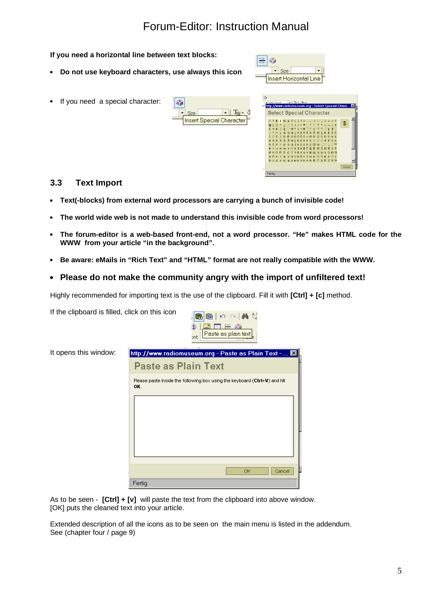#### **If you need a horizontal line between text blocks:** ₩ (↑  $\overline{\phantom{a}}$  Size **Do not use keyboard characters, use always this icon**  $\cdot$ Insert Horizontal Line If you need a special character:  $\mathcal{L}_\mathrm{B}$ width and the Tay And Tay Office Special Charles<br>http://www.radiomuseum.org - Select Special Cha  $\Box$   $T_{\rm H}$  . **Select Special Character** Size Insert Special Character  $\overline{\mathcal{L}}$ Fertia

#### **3.3 Text Import**

If the clipboard is filled, click on this icon

- **Text(-blocks) from external word processors are carrying a bunch of invisible code!**
- **The world wide web is not made to understand this invisible code from word processors!**
- **The forum-editor is a web-based front-end, not a word processor. "He" makes HTML code for the WWW from your article "in the background".**

6 6 区 ○ 内

- **Be aware: eMails in "Rich Text" and "HTML" format are not really compatible with the WWW.**
- **Please do not make the community angry with the import of unfiltered text!**

Highly recommended for importing text is the use of the clipboard. Fill it with **[Ctrl] + [c]** method.

恩田三命 £ Paste as plain text ont It opens this window: http://www.radiomuseum.org - Paste as Plain Text - ... **Paste as Plain Text** Please paste inside the following box using the keyboard (Ctrl+V) and hit OK OK Cancel Fertig

As to be seen - **[Ctrl] + [v]** will paste the text from the clipboard into above window. [OK] puts the cleaned text into your article.

Extended description of all the icons as to be seen on the main menu is listed in the addendum. See (chapter four / page 9)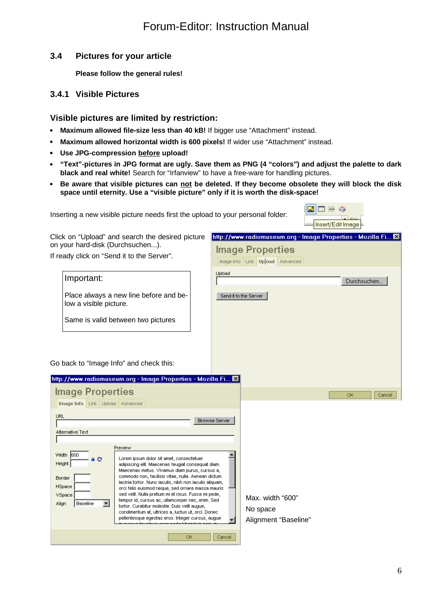#### **3.4 Pictures for your article**

**Please follow the general rules!**

#### **3.4.1 Visible Pictures**

#### **Visible pictures are limited by restriction:**

- **Maximum allowed file-size less than 40 kB!** If bigger use "Attachment" instead.
- **Maximum allowed horizontal width is 600 pixels!** If wider use "Attachment" instead.
- **Use JPG-compression before upload!**
- **"Text"-pictures in JPG format are ugly. Save them as PNG (4 "colors") and adjust the palette to dark**  $\bullet$ **black and real white!** Search for "Irfanview" to have a free-ware for handling pictures.
- **Be aware that visible pictures can not be deleted. If they become obsolete they will block the disk space until eternity. Use a "visible picture" only if it is worth the disk-space!**

Upload

**Image Properties** Image Info Link Upload Advanced

Send it to the Server

Inserting a new visible picture needs first the upload to your personal folder:

|  |  | Insert/Edit Image |
|--|--|-------------------|

Durchsuchen...

http://www.radiomuseum.org - Image Properties - Mozilla Fi... X

Click on "Upload" and search the desired picture on your hard-disk (Durchsuchen...).

If ready click on "Send it to the Server".

#### Important:

Place always a new line before and below a visible picture.

Same is valid between two pictures

Go back to "Image Info" and check this:

| http://www.radiomuseum.org - Image Properties - Mozilla Fi <b>X</b>                                                                                                                                                                                                                                                                                                                                                                                                                                                                                                                                                                                                                    |                                                      |
|----------------------------------------------------------------------------------------------------------------------------------------------------------------------------------------------------------------------------------------------------------------------------------------------------------------------------------------------------------------------------------------------------------------------------------------------------------------------------------------------------------------------------------------------------------------------------------------------------------------------------------------------------------------------------------------|------------------------------------------------------|
| <b>Image Properties</b>                                                                                                                                                                                                                                                                                                                                                                                                                                                                                                                                                                                                                                                                | ОК<br>Cancel                                         |
| <b>Image Info</b> Link Upload Advanced                                                                                                                                                                                                                                                                                                                                                                                                                                                                                                                                                                                                                                                 |                                                      |
| URL<br><b>Browse Server</b>                                                                                                                                                                                                                                                                                                                                                                                                                                                                                                                                                                                                                                                            |                                                      |
| Alternative Text                                                                                                                                                                                                                                                                                                                                                                                                                                                                                                                                                                                                                                                                       |                                                      |
| Preview                                                                                                                                                                                                                                                                                                                                                                                                                                                                                                                                                                                                                                                                                |                                                      |
| Width 600<br>Lorem ipsum dolor sit amet, consectetuer<br>a C<br>Height<br>adipiscing elit. Maecenas feugiat consequat diam.<br>Maecenas metus. Vivamus diam purus, cursus a,<br>commodo non, facilisis vitae, nulla. Aenean dictum-<br><b>Border</b><br>lacinia tortor. Nunc iaculis, nibh non iaculis aliquam,<br>HSpace<br>orci felis euismod neque, sed ornare massa mauris<br>sed velit. Nulla pretium mi et risus. Fusce mi pede,<br>VSpace<br>tempor id, cursus ac, ullamcorper nec, enim. Sed-<br>Baseline<br>Align<br>tortor. Curabitur molestie. Duis velit augue,<br>condimentum at, ultrices a, luctus ut, orci. Donec-<br>pellentesque egestas eros, integer cursus, augue | Max. width "600"<br>No space<br>Alignment "Baseline" |
| ОК<br>Cancel                                                                                                                                                                                                                                                                                                                                                                                                                                                                                                                                                                                                                                                                           |                                                      |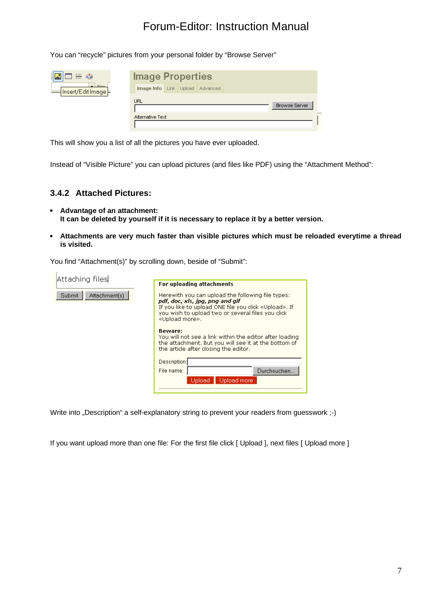You can "recycle" pictures from your personal folder by "Browse Server"

| <b>REEG</b>                                  | <b>Image Properties</b>                |  |  |  |                      |  |
|----------------------------------------------|----------------------------------------|--|--|--|----------------------|--|
| $ Sina$<br> Insert/Edit Image <mark>⊨</mark> | <b>Image Info</b> Link Upload Advanced |  |  |  |                      |  |
|                                              | <b>URL</b>                             |  |  |  | <b>Browse Server</b> |  |
|                                              | Alternative Text                       |  |  |  |                      |  |

This will show you a list of all the pictures you have ever uploaded.

Instead of "Visible Picture" you can upload pictures (and files like PDF) using the "Attachment Method":

#### **3.4.2 Attached Pictures:**

- **Advantage of an attachment: It can be deleted by yourself if it is necessary to replace it by a better version.**
- **Attachments are very much faster than visible pictures which must be reloaded everytime a thread is visited.**

You find "Attachment(s)" by scrolling down, beside of "Submit":

| <b>For uploading attachments</b>                                                                                                                                                                                     |
|----------------------------------------------------------------------------------------------------------------------------------------------------------------------------------------------------------------------|
| Herewith you can upload the following file types:<br>pdf, doc, xls, ipg, png and gif<br>If you like to upload ONE file you click «Upload». If<br>you wish to upload two or several files you click<br>«Upload more». |
| <b>Beware:</b><br>You will not see a link within the editor after loading<br>the attachment. But you will see it at the bottom of<br>the article after closing the editor.                                           |
| Description:<br>Durchsuchen<br>File name:<br>Upload more<br>Upload i                                                                                                                                                 |
|                                                                                                                                                                                                                      |

Write into "Description" a self-explanatory string to prevent your readers from guesswork ;-)

If you want upload more than one file: For the first file click [ Upload ], next files [ Upload more ]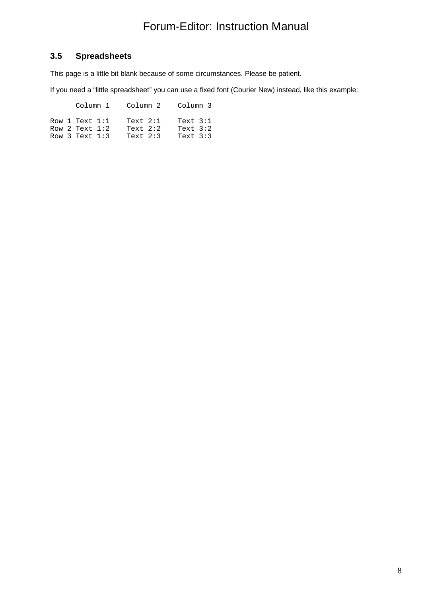#### **3.5 Spreadsheets**

This page is a little bit blank because of some circumstances. Please be patient.

If you need a "little spreadsheet" you can use a fixed font (Courier New) instead, like this example:

Column 1 Column 2 Column 3

|  | Row 1 Text $1:1$   | Text $2:1$ | Text $3:1$ |  |
|--|--------------------|------------|------------|--|
|  | Row 2 Text $1:2$   | Text $2:2$ | Text $3:2$ |  |
|  | Row $3$ Text $1:3$ | Text $2:3$ | Text $3:3$ |  |